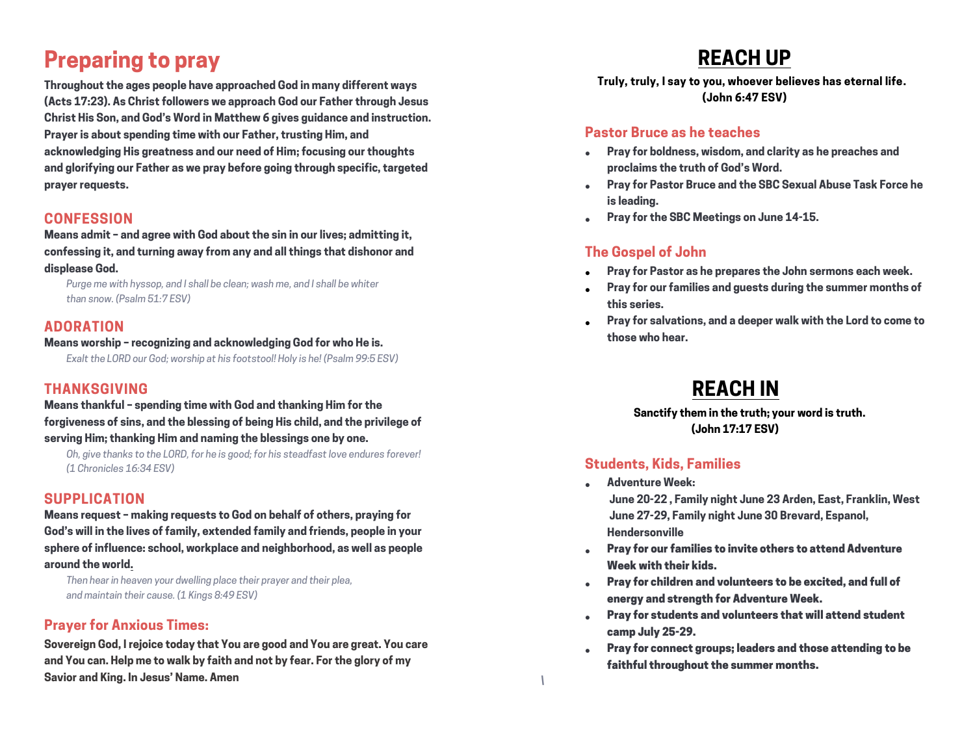# **Preparing to pray**

**Throughout the ages people have approached God in many different ways (Acts 17:23). As Christ followers we approach God our Father through Jesus Christ His Son, and God's Word in Matthew 6 gives guidance and instruction. Prayer is about spending time with our Father, trusting Him, and acknowledging His greatness and our need of Him; focusing our thoughts and glorifying our Father as we pray before going through specific, targeted prayer requests.**

#### **CONFESSION**

**Means admit – and agree with God about the sin in our lives; admitting it, confessing it, and turning away from any and all things that dishonor and displease God.**

*Purge me with hyssop, and I shall be clean; wash me, and I shall be whiter than snow. (Psalm 51:7 ESV)*

#### **ADORATION**

#### **Means worship – recognizing and acknowledging God for who He is.**

*Exalt the LORD our God; worship at his footstool! Holy is he! (Psalm 99:5 ESV)*

### **THANKSGIVING**

**Means thankful – spending time with God and thanking Him for the forgiveness of sins, and the blessing of being His child, and the privilege of serving Him; thanking Him and naming the blessings one by one.**

*Oh, give thanks to the LORD, for he is good; for his steadfast love endures forever! (1 Chronicles 16:34 ESV)*

#### **SUPPLICATION**

**Means request – making requests to God on behalf of others, praying for God's will in the lives of family, extended family and friends, people in your sphere of influence: school, workplace and neighborhood, as well as people around the world.**

*Then hear in heaven your dwelling place their prayer and their plea, and maintain their cause. (1 Kings 8:49 ESV)*

#### **Prayer for Anxious Times:**

**Sovereign God, I rejoice today that You are good and You are great. You care and You can. Help me to walk by faith and not by fear. For the glory of my Savior and King. In Jesus' Name. Amen**

# **REACH UP**

 **Truly, truly, I say to you, whoever believes has eternal life. (John 6:47 ESV)**

#### **Pastor Bruce as he teaches**

- **Pray for boldness, wisdom, and clarity as he preaches and proclaims the truth of God's Word.**
- **Pray for Pastor Bruce and the SBC Sexual Abuse Task Force he is leading.**
- **Pray for the SBC Meetings on June 14-15.**

### **The Gospel of John**

- **Pray for Pastor as he prepares the John sermons each week.**
- **Pray for our families and guests during the summer months of this series.**
- **Pray for salvations, and a deeper walk with the Lord to come to those who hear.**

# **REACH IN**

 **Sanctify them in the truth; your word is truth. (John 17:17 ESV)**

#### **Students, Kids, Families**

*\* 

- **Adventure Week: June 20-22 , Family night June 23 Arden, East, Franklin, West June 27-29, Family night June 30 Brevard, Espanol, Hendersonville**
- Pray for our families to invite others to attend Adventure Week with their kids.
- Pray for children and volunteers to be excited, and full of energy and strength for Adventure Week.
- Pray for students and volunteers that will attend student camp July 25-29.
- Pray for connect groups; leaders and those attending to be faithful throughout the summer months.